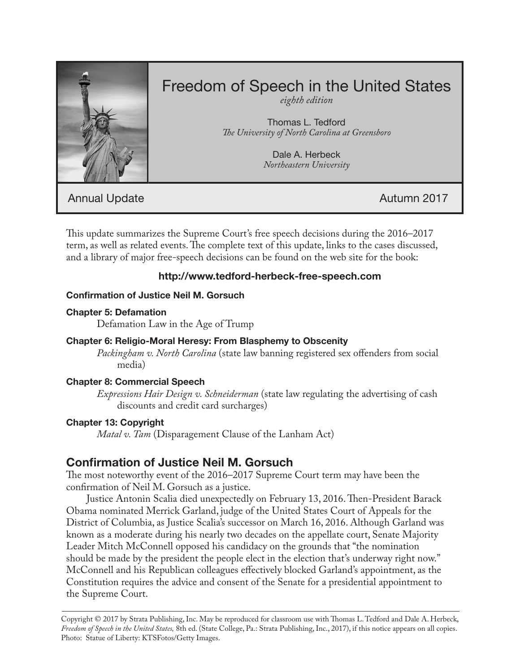

# Freedom of Speech in the United States

*eighth edition*

Thomas L. Tedford *The University of North Carolina at Greensboro*

> Dale A. Herbeck *Northeastern University*

Annual Update **Autumn 2017** 

This update summarizes the Supreme Court's free speech decisions during the 2016–2017 term, as well as related events. The complete text of this update, links to the cases discussed, and a library of major free-speech decisions can be found on the web site for the book:

# **http://www.tedford-herbeck-free-speech.com**

## **Confirmation of Justice Neil M. Gorsuch**

## **Chapter 5: Defamation**

Defamation Law in the Age of Trump

# **Chapter 6: Religio-Moral Heresy: From Blasphemy to Obscenity**

*Packingham v. North Carolina* (state law banning registered sex offenders from social media)

# **Chapter 8: Commercial Speech**

*Expressions Hair Design v. Schneiderman* (state law regulating the advertising of cash discounts and credit card surcharges)

# **Chapter 13: Copyright**

*Matal v. Tam* (Disparagement Clause of the Lanham Act)

# **Confirmation of Justice Neil M. Gorsuch**

The most noteworthy event of the 2016–2017 Supreme Court term may have been the confirmation of Neil M. Gorsuch as a justice.

Justice Antonin Scalia died unexpectedly on February 13, 2016. Then-President Barack Obama nominated Merrick Garland, judge of the United States Court of Appeals for the District of Columbia, as Justice Scalia's successor on March 16, 2016. Although Garland was known as a moderate during his nearly two decades on the appellate court, Senate Majority Leader Mitch McConnell opposed his candidacy on the grounds that "the nomination should be made by the president the people elect in the election that's underway right now." McConnell and his Republican colleagues effectively blocked Garland's appointment, as the Constitution requires the advice and consent of the Senate for a presidential appointment to the Supreme Court.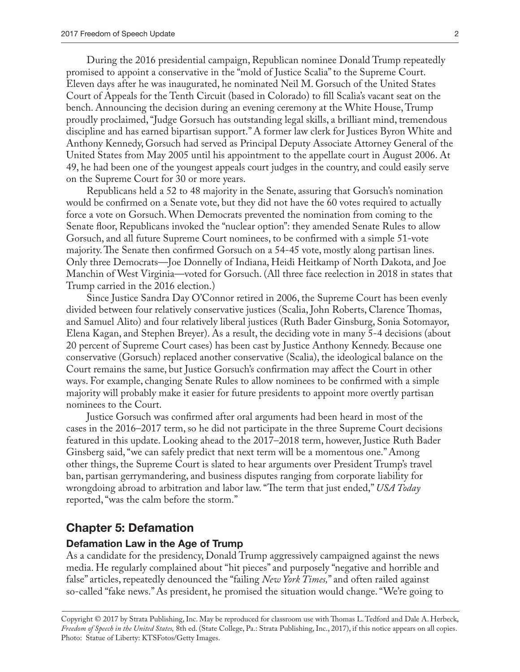During the 2016 presidential campaign, Republican nominee Donald Trump repeatedly promised to appoint a conservative in the "mold of Justice Scalia" to the Supreme Court. Eleven days after he was inaugurated, he nominated Neil M. Gorsuch of the United States Court of Appeals for the Tenth Circuit (based in Colorado) to fill Scalia's vacant seat on the bench. Announcing the decision during an evening ceremony at the White House, Trump proudly proclaimed, "Judge Gorsuch has outstanding legal skills, a brilliant mind, tremendous discipline and has earned bipartisan support." A former law clerk for Justices Byron White and Anthony Kennedy, Gorsuch had served as Principal Deputy Associate Attorney General of the United States from May 2005 until his appointment to the appellate court in August 2006. At 49, he had been one of the youngest appeals court judges in the country, and could easily serve on the Supreme Court for 30 or more years.

Republicans held a 52 to 48 majority in the Senate, assuring that Gorsuch's nomination would be confirmed on a Senate vote, but they did not have the 60 votes required to actually force a vote on Gorsuch. When Democrats prevented the nomination from coming to the Senate floor, Republicans invoked the "nuclear option": they amended Senate Rules to allow Gorsuch, and all future Supreme Court nominees, to be confirmed with a simple 51-vote majority. The Senate then confirmed Gorsuch on a 54-45 vote, mostly along partisan lines. Only three Democrats—Joe Donnelly of Indiana, Heidi Heitkamp of North Dakota, and Joe Manchin of West Virginia—voted for Gorsuch. (All three face reelection in 2018 in states that Trump carried in the 2016 election.)

Since Justice Sandra Day O'Connor retired in 2006, the Supreme Court has been evenly divided between four relatively conservative justices (Scalia, John Roberts, Clarence Thomas, and Samuel Alito) and four relatively liberal justices (Ruth Bader Ginsburg, Sonia Sotomayor, Elena Kagan, and Stephen Breyer). As a result, the deciding vote in many 5-4 decisions (about 20 percent of Supreme Court cases) has been cast by Justice Anthony Kennedy. Because one conservative (Gorsuch) replaced another conservative (Scalia), the ideological balance on the Court remains the same, but Justice Gorsuch's confirmation may affect the Court in other ways. For example, changing Senate Rules to allow nominees to be confirmed with a simple majority will probably make it easier for future presidents to appoint more overtly partisan nominees to the Court.

Justice Gorsuch was confirmed after oral arguments had been heard in most of the cases in the 2016–2017 term, so he did not participate in the three Supreme Court decisions featured in this update. Looking ahead to the 2017–2018 term, however, Justice Ruth Bader Ginsberg said, "we can safely predict that next term will be a momentous one." Among other things, the Supreme Court is slated to hear arguments over President Trump's travel ban, partisan gerrymandering, and business disputes ranging from corporate liability for wrongdoing abroad to arbitration and labor law. "The term that just ended," *USA Today* reported, "was the calm before the storm."

#### **Chapter 5: Defamation**

#### **Defamation Law in the Age of Trump**

As a candidate for the presidency, Donald Trump aggressively campaigned against the news media. He regularly complained about "hit pieces" and purposely "negative and horrible and false" articles, repeatedly denounced the "failing *New York Times,*" and often railed against so-called "fake news." As president, he promised the situation would change. "We're going to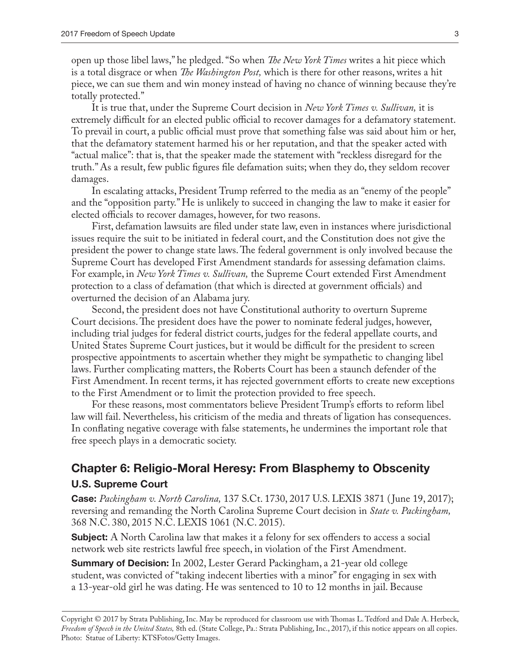open up those libel laws," he pledged. "So when *The New York Times* writes a hit piece which is a total disgrace or when *The Washington Post,* which is there for other reasons, writes a hit piece, we can sue them and win money instead of having no chance of winning because they're totally protected."

It is true that, under the Supreme Court decision in *New York Times v. Sullivan,* it is extremely difficult for an elected public official to recover damages for a defamatory statement. To prevail in court, a public official must prove that something false was said about him or her, that the defamatory statement harmed his or her reputation, and that the speaker acted with "actual malice": that is, that the speaker made the statement with "reckless disregard for the truth." As a result, few public figures file defamation suits; when they do, they seldom recover damages.

In escalating attacks, President Trump referred to the media as an "enemy of the people" and the "opposition party." He is unlikely to succeed in changing the law to make it easier for elected officials to recover damages, however, for two reasons.

First, defamation lawsuits are filed under state law, even in instances where jurisdictional issues require the suit to be initiated in federal court, and the Constitution does not give the president the power to change state laws. The federal government is only involved because the Supreme Court has developed First Amendment standards for assessing defamation claims. For example, in *New York Times v. Sullivan,* the Supreme Court extended First Amendment protection to a class of defamation (that which is directed at government officials) and overturned the decision of an Alabama jury.

Second, the president does not have Constitutional authority to overturn Supreme Court decisions. The president does have the power to nominate federal judges, however, including trial judges for federal district courts, judges for the federal appellate courts, and United States Supreme Court justices, but it would be difficult for the president to screen prospective appointments to ascertain whether they might be sympathetic to changing libel laws. Further complicating matters, the Roberts Court has been a staunch defender of the First Amendment. In recent terms, it has rejected government efforts to create new exceptions to the First Amendment or to limit the protection provided to free speech.

For these reasons, most commentators believe President Trump's efforts to reform libel law will fail. Nevertheless, his criticism of the media and threats of ligation has consequences. In conflating negative coverage with false statements, he undermines the important role that free speech plays in a democratic society.

# **Chapter 6: Religio-Moral Heresy: From Blasphemy to Obscenity U.S. Supreme Court**

**Case:** *Packingham v. North Carolina,* 137 S.Ct. 1730, 2017 U.S. LEXIS 3871 ( June 19, 2017); reversing and remanding the North Carolina Supreme Court decision in *State v. Packingham,* 368 N.C. 380, 2015 N.C. LEXIS 1061 (N.C. 2015).

**Subject:** A North Carolina law that makes it a felony for sex offenders to access a social network web site restricts lawful free speech, in violation of the First Amendment.

**Summary of Decision:** In 2002, Lester Gerard Packingham, a 21-year old college student, was convicted of "taking indecent liberties with a minor" for engaging in sex with a 13-year-old girl he was dating. He was sentenced to 10 to 12 months in jail. Because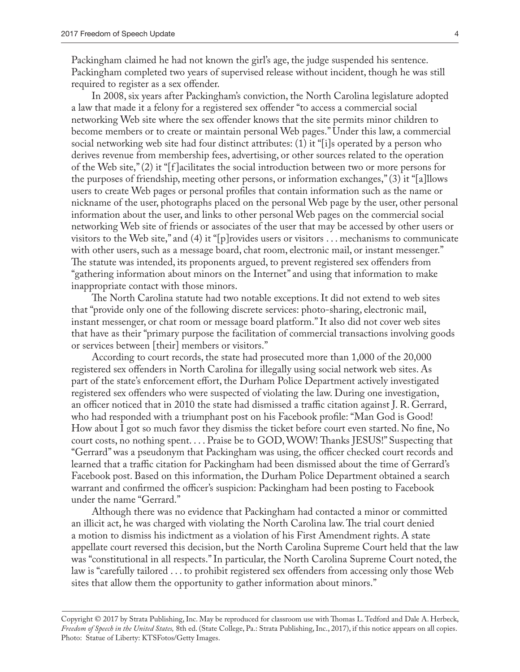Packingham claimed he had not known the girl's age, the judge suspended his sentence. Packingham completed two years of supervised release without incident, though he was still required to register as a sex offender.

In 2008, six years after Packingham's conviction, the North Carolina legislature adopted a law that made it a felony for a registered sex offender "to access a commercial social networking Web site where the sex offender knows that the site permits minor children to become members or to create or maintain personal Web pages." Under this law, a commercial social networking web site had four distinct attributes: (1) it "[i]s operated by a person who derives revenue from membership fees, advertising, or other sources related to the operation of the Web site," (2) it "[f ]acilitates the social introduction between two or more persons for the purposes of friendship, meeting other persons, or information exchanges," (3) it "[a]llows users to create Web pages or personal profiles that contain information such as the name or nickname of the user, photographs placed on the personal Web page by the user, other personal information about the user, and links to other personal Web pages on the commercial social networking Web site of friends or associates of the user that may be accessed by other users or visitors to the Web site," and (4) it "[p]rovides users or visitors . . . mechanisms to communicate with other users, such as a message board, chat room, electronic mail, or instant messenger." The statute was intended, its proponents argued, to prevent registered sex offenders from "gathering information about minors on the Internet" and using that information to make inappropriate contact with those minors.

The North Carolina statute had two notable exceptions. It did not extend to web sites that "provide only one of the following discrete services: photo-sharing, electronic mail, instant messenger, or chat room or message board platform." It also did not cover web sites that have as their "primary purpose the facilitation of commercial transactions involving goods or services between [their] members or visitors."

According to court records, the state had prosecuted more than 1,000 of the 20,000 registered sex offenders in North Carolina for illegally using social network web sites. As part of the state's enforcement effort, the Durham Police Department actively investigated registered sex offenders who were suspected of violating the law. During one investigation, an officer noticed that in 2010 the state had dismissed a traffic citation against J. R. Gerrard, who had responded with a triumphant post on his Facebook profile: "Man God is Good! How about I got so much favor they dismiss the ticket before court even started. No fine, No court costs, no nothing spent. . . . Praise be to GOD, WOW! Thanks JESUS!" Suspecting that "Gerrard" was a pseudonym that Packingham was using, the officer checked court records and learned that a traffic citation for Packingham had been dismissed about the time of Gerrard's Facebook post. Based on this information, the Durham Police Department obtained a search warrant and confirmed the officer's suspicion: Packingham had been posting to Facebook under the name "Gerrard."

Although there was no evidence that Packingham had contacted a minor or committed an illicit act, he was charged with violating the North Carolina law. The trial court denied a motion to dismiss his indictment as a violation of his First Amendment rights. A state appellate court reversed this decision, but the North Carolina Supreme Court held that the law was "constitutional in all respects." In particular, the North Carolina Supreme Court noted, the law is "carefully tailored . . . to prohibit registered sex offenders from accessing only those Web sites that allow them the opportunity to gather information about minors."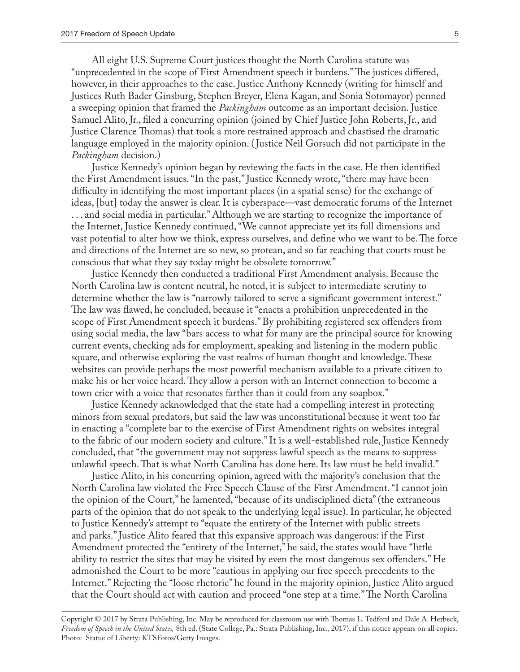All eight U.S. Supreme Court justices thought the North Carolina statute was "unprecedented in the scope of First Amendment speech it burdens." The justices differed, however, in their approaches to the case. Justice Anthony Kennedy (writing for himself and Justices Ruth Bader Ginsburg, Stephen Breyer, Elena Kagan, and Sonia Sotomayor) penned a sweeping opinion that framed the *Packingham* outcome as an important decision. Justice Samuel Alito, Jr., filed a concurring opinion (joined by Chief Justice John Roberts, Jr., and Justice Clarence Thomas) that took a more restrained approach and chastised the dramatic language employed in the majority opinion. ( Justice Neil Gorsuch did not participate in the *Packingham* decision.)

Justice Kennedy's opinion began by reviewing the facts in the case. He then identified the First Amendment issues. "In the past," Justice Kennedy wrote, "there may have been difficulty in identifying the most important places (in a spatial sense) for the exchange of ideas, [but] today the answer is clear. It is cyberspace—vast democratic forums of the Internet . . . and social media in particular." Although we are starting to recognize the importance of the Internet, Justice Kennedy continued, "We cannot appreciate yet its full dimensions and vast potential to alter how we think, express ourselves, and define who we want to be. The force and directions of the Internet are so new, so protean, and so far reaching that courts must be conscious that what they say today might be obsolete tomorrow."

Justice Kennedy then conducted a traditional First Amendment analysis. Because the North Carolina law is content neutral, he noted, it is subject to intermediate scrutiny to determine whether the law is "narrowly tailored to serve a significant government interest." The law was flawed, he concluded, because it "enacts a prohibition unprecedented in the scope of First Amendment speech it burdens." By prohibiting registered sex offenders from using social media, the law "bars access to what for many are the principal source for knowing current events, checking ads for employment, speaking and listening in the modern public square, and otherwise exploring the vast realms of human thought and knowledge. These websites can provide perhaps the most powerful mechanism available to a private citizen to make his or her voice heard. They allow a person with an Internet connection to become a town crier with a voice that resonates farther than it could from any soapbox."

Justice Kennedy acknowledged that the state had a compelling interest in protecting minors from sexual predators, but said the law was unconstitutional because it went too far in enacting a "complete bar to the exercise of First Amendment rights on websites integral to the fabric of our modern society and culture." It is a well-established rule, Justice Kennedy concluded, that "the government may not suppress lawful speech as the means to suppress unlawful speech. That is what North Carolina has done here. Its law must be held invalid."

Justice Alito, in his concurring opinion, agreed with the majority's conclusion that the North Carolina law violated the Free Speech Clause of the First Amendment. "I cannot join the opinion of the Court," he lamented, "because of its undisciplined dicta" (the extraneous parts of the opinion that do not speak to the underlying legal issue). In particular, he objected to Justice Kennedy's attempt to "equate the entirety of the Internet with public streets and parks." Justice Alito feared that this expansive approach was dangerous: if the First Amendment protected the "entirety of the Internet," he said, the states would have "little ability to restrict the sites that may be visited by even the most dangerous sex offenders." He admonished the Court to be more "cautious in applying our free speech precedents to the Internet." Rejecting the "loose rhetoric" he found in the majority opinion, Justice Alito argued that the Court should act with caution and proceed "one step at a time." The North Carolina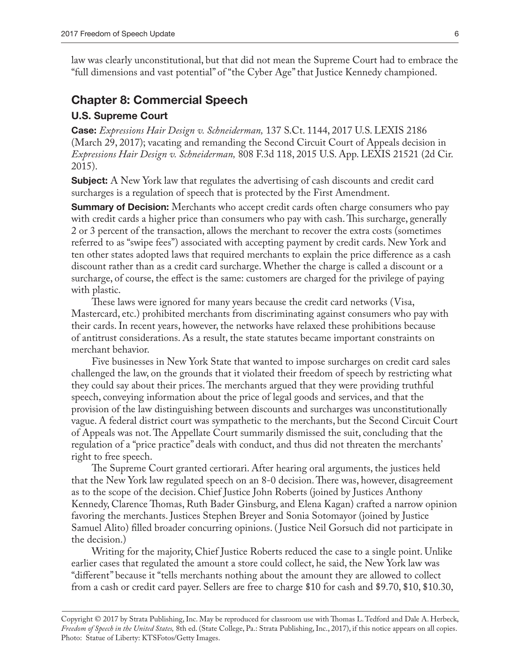law was clearly unconstitutional, but that did not mean the Supreme Court had to embrace the "full dimensions and vast potential" of "the Cyber Age" that Justice Kennedy championed.

# **Chapter 8: Commercial Speech**

#### **U.S. Supreme Court**

**Case:** *Expressions Hair Design v. Schneiderman,* 137 S.Ct. 1144, 2017 U.S. LEXIS 2186 (March 29, 2017); vacating and remanding the Second Circuit Court of Appeals decision in *Expressions Hair Design v. Schneiderman,* 808 F.3d 118, 2015 U.S. App. LEXIS 21521 (2d Cir. 2015).

**Subject:** A New York law that regulates the advertising of cash discounts and credit card surcharges is a regulation of speech that is protected by the First Amendment.

**Summary of Decision:** Merchants who accept credit cards often charge consumers who pay with credit cards a higher price than consumers who pay with cash. This surcharge, generally 2 or 3 percent of the transaction, allows the merchant to recover the extra costs (sometimes referred to as "swipe fees") associated with accepting payment by credit cards. New York and ten other states adopted laws that required merchants to explain the price difference as a cash discount rather than as a credit card surcharge. Whether the charge is called a discount or a surcharge, of course, the effect is the same: customers are charged for the privilege of paying with plastic.

These laws were ignored for many years because the credit card networks (Visa, Mastercard, etc.) prohibited merchants from discriminating against consumers who pay with their cards. In recent years, however, the networks have relaxed these prohibitions because of antitrust considerations. As a result, the state statutes became important constraints on merchant behavior.

Five businesses in New York State that wanted to impose surcharges on credit card sales challenged the law, on the grounds that it violated their freedom of speech by restricting what they could say about their prices. The merchants argued that they were providing truthful speech, conveying information about the price of legal goods and services, and that the provision of the law distinguishing between discounts and surcharges was unconstitutionally vague. A federal district court was sympathetic to the merchants, but the Second Circuit Court of Appeals was not. The Appellate Court summarily dismissed the suit, concluding that the regulation of a "price practice" deals with conduct, and thus did not threaten the merchants' right to free speech.

The Supreme Court granted certiorari. After hearing oral arguments, the justices held that the New York law regulated speech on an 8-0 decision. There was, however, disagreement as to the scope of the decision. Chief Justice John Roberts (joined by Justices Anthony Kennedy, Clarence Thomas, Ruth Bader Ginsburg, and Elena Kagan) crafted a narrow opinion favoring the merchants. Justices Stephen Breyer and Sonia Sotomayor (joined by Justice Samuel Alito) filled broader concurring opinions. ( Justice Neil Gorsuch did not participate in the decision.)

Writing for the majority, Chief Justice Roberts reduced the case to a single point. Unlike earlier cases that regulated the amount a store could collect, he said, the New York law was "different" because it "tells merchants nothing about the amount they are allowed to collect from a cash or credit card payer. Sellers are free to charge \$10 for cash and \$9.70, \$10, \$10.30,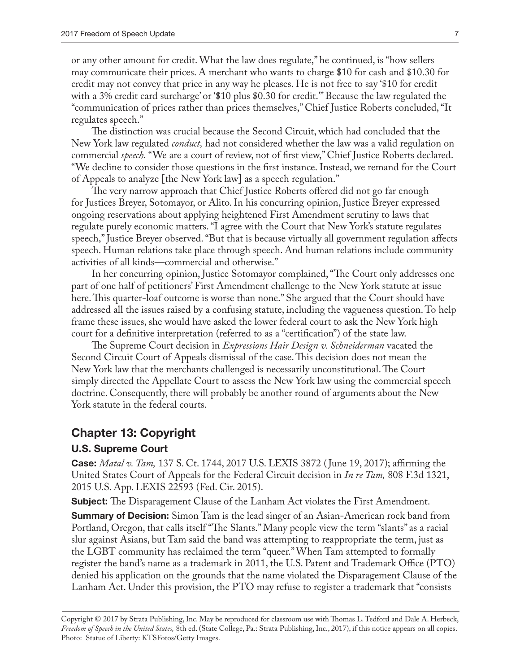or any other amount for credit. What the law does regulate," he continued, is "how sellers may communicate their prices. A merchant who wants to charge \$10 for cash and \$10.30 for credit may not convey that price in any way he pleases. He is not free to say '\$10 for credit with a 3% credit card surcharge' or '\$10 plus \$0.30 for credit.'" Because the law regulated the "communication of prices rather than prices themselves," Chief Justice Roberts concluded, "It regulates speech."

The distinction was crucial because the Second Circuit, which had concluded that the New York law regulated *conduct,* had not considered whether the law was a valid regulation on commercial *speech.* "We are a court of review, not of first view," Chief Justice Roberts declared. "We decline to consider those questions in the first instance. Instead, we remand for the Court of Appeals to analyze [the New York law] as a speech regulation."

The very narrow approach that Chief Justice Roberts offered did not go far enough for Justices Breyer, Sotomayor, or Alito. In his concurring opinion, Justice Breyer expressed ongoing reservations about applying heightened First Amendment scrutiny to laws that regulate purely economic matters. "I agree with the Court that New York's statute regulates speech," Justice Breyer observed. "But that is because virtually all government regulation affects speech. Human relations take place through speech. And human relations include community activities of all kinds—commercial and otherwise."

In her concurring opinion, Justice Sotomayor complained, "The Court only addresses one part of one half of petitioners' First Amendment challenge to the New York statute at issue here. This quarter-loaf outcome is worse than none." She argued that the Court should have addressed all the issues raised by a confusing statute, including the vagueness question. To help frame these issues, she would have asked the lower federal court to ask the New York high court for a definitive interpretation (referred to as a "certification") of the state law.

The Supreme Court decision in *Expressions Hair Design v. Schneiderman* vacated the Second Circuit Court of Appeals dismissal of the case. This decision does not mean the New York law that the merchants challenged is necessarily unconstitutional. The Court simply directed the Appellate Court to assess the New York law using the commercial speech doctrine. Consequently, there will probably be another round of arguments about the New York statute in the federal courts.

# **Chapter 13: Copyright**

#### **U.S. Supreme Court**

**Case:** *Matal v. Tam,* 137 S. Ct. 1744, 2017 U.S. LEXIS 3872 ( June 19, 2017); affirming the United States Court of Appeals for the Federal Circuit decision in *In re Tam,* 808 F.3d 1321, 2015 U.S. App. LEXIS 22593 (Fed. Cir. 2015).

**Subject:** The Disparagement Clause of the Lanham Act violates the First Amendment.

**Summary of Decision:** Simon Tam is the lead singer of an Asian-American rock band from Portland, Oregon, that calls itself "The Slants." Many people view the term "slants" as a racial slur against Asians, but Tam said the band was attempting to reappropriate the term, just as the LGBT community has reclaimed the term "queer." When Tam attempted to formally register the band's name as a trademark in 2011, the U.S. Patent and Trademark Office (PTO) denied his application on the grounds that the name violated the Disparagement Clause of the Lanham Act. Under this provision, the PTO may refuse to register a trademark that "consists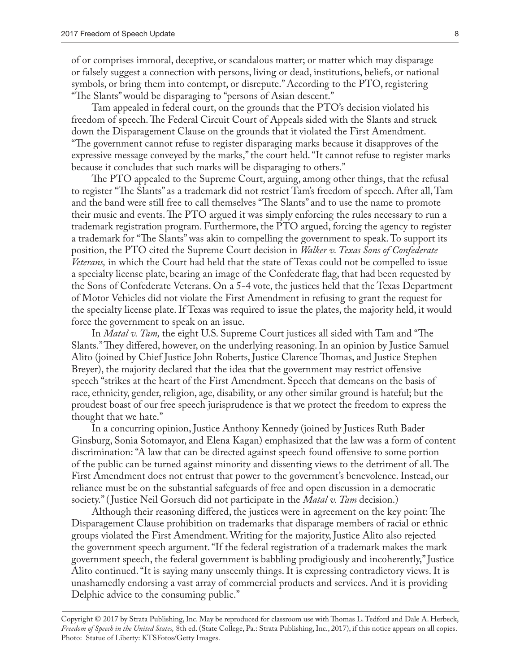of or comprises immoral, deceptive, or scandalous matter; or matter which may disparage or falsely suggest a connection with persons, living or dead, institutions, beliefs, or national symbols, or bring them into contempt, or disrepute." According to the PTO, registering "The Slants" would be disparaging to "persons of Asian descent."

Tam appealed in federal court, on the grounds that the PTO's decision violated his freedom of speech. The Federal Circuit Court of Appeals sided with the Slants and struck down the Disparagement Clause on the grounds that it violated the First Amendment. "The government cannot refuse to register disparaging marks because it disapproves of the expressive message conveyed by the marks," the court held. "It cannot refuse to register marks because it concludes that such marks will be disparaging to others."

The PTO appealed to the Supreme Court, arguing, among other things, that the refusal to register "The Slants" as a trademark did not restrict Tam's freedom of speech. After all, Tam and the band were still free to call themselves "The Slants" and to use the name to promote their music and events. The PTO argued it was simply enforcing the rules necessary to run a trademark registration program. Furthermore, the PTO argued, forcing the agency to register a trademark for "The Slants" was akin to compelling the government to speak. To support its position, the PTO cited the Supreme Court decision in *Walker v. Texas Sons of Confederate Veterans,* in which the Court had held that the state of Texas could not be compelled to issue a specialty license plate, bearing an image of the Confederate flag, that had been requested by the Sons of Confederate Veterans. On a 5-4 vote, the justices held that the Texas Department of Motor Vehicles did not violate the First Amendment in refusing to grant the request for the specialty license plate. If Texas was required to issue the plates, the majority held, it would force the government to speak on an issue.

In *Matal v. Tam,* the eight U.S. Supreme Court justices all sided with Tam and "The Slants." They differed, however, on the underlying reasoning. In an opinion by Justice Samuel Alito (joined by Chief Justice John Roberts, Justice Clarence Thomas, and Justice Stephen Breyer), the majority declared that the idea that the government may restrict offensive speech "strikes at the heart of the First Amendment. Speech that demeans on the basis of race, ethnicity, gender, religion, age, disability, or any other similar ground is hateful; but the proudest boast of our free speech jurisprudence is that we protect the freedom to express the thought that we hate."

In a concurring opinion, Justice Anthony Kennedy (joined by Justices Ruth Bader Ginsburg, Sonia Sotomayor, and Elena Kagan) emphasized that the law was a form of content discrimination: "A law that can be directed against speech found offensive to some portion of the public can be turned against minority and dissenting views to the detriment of all. The First Amendment does not entrust that power to the government's benevolence. Instead, our reliance must be on the substantial safeguards of free and open discussion in a democratic society." ( Justice Neil Gorsuch did not participate in the *Matal v. Tam* decision.)

Although their reasoning differed, the justices were in agreement on the key point: The Disparagement Clause prohibition on trademarks that disparage members of racial or ethnic groups violated the First Amendment. Writing for the majority, Justice Alito also rejected the government speech argument. "If the federal registration of a trademark makes the mark government speech, the federal government is babbling prodigiously and incoherently," Justice Alito continued. "It is saying many unseemly things. It is expressing contradictory views. It is unashamedly endorsing a vast array of commercial products and services. And it is providing Delphic advice to the consuming public."